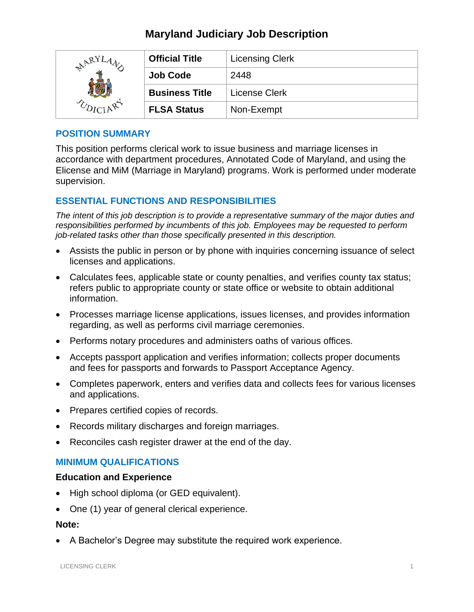# **Maryland Judiciary Job Description**

| $R^{RYI}$ | <b>Official Title</b> | <b>Licensing Clerk</b> |
|-----------|-----------------------|------------------------|
|           | <b>Job Code</b>       | 2448                   |
|           | <b>Business Title</b> | License Clerk          |
|           | <b>FLSA Status</b>    | Non-Exempt             |

### **POSITION SUMMARY**

This position performs clerical work to issue business and marriage licenses in accordance with department procedures, Annotated Code of Maryland, and using the Elicense and MiM (Marriage in Maryland) programs. Work is performed under moderate supervision.

## **ESSENTIAL FUNCTIONS AND RESPONSIBILITIES**

*The intent of this job description is to provide a representative summary of the major duties and responsibilities performed by incumbents of this job. Employees may be requested to perform job-related tasks other than those specifically presented in this description.*

- Assists the public in person or by phone with inquiries concerning issuance of select licenses and applications.
- Calculates fees, applicable state or county penalties, and verifies county tax status; refers public to appropriate county or state office or website to obtain additional information.
- Processes marriage license applications, issues licenses, and provides information regarding, as well as performs civil marriage ceremonies.
- Performs notary procedures and administers oaths of various offices.
- Accepts passport application and verifies information; collects proper documents and fees for passports and forwards to Passport Acceptance Agency.
- Completes paperwork, enters and verifies data and collects fees for various licenses and applications.
- Prepares certified copies of records.
- Records military discharges and foreign marriages.
- Reconciles cash register drawer at the end of the day.

### **MINIMUM QUALIFICATIONS**

#### **Education and Experience**

- High school diploma (or GED equivalent).
- One (1) year of general clerical experience.

#### **Note:**

• A Bachelor's Degree may substitute the required work experience.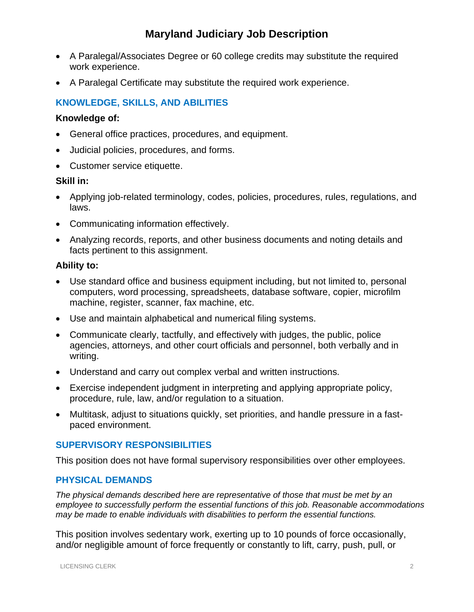# **Maryland Judiciary Job Description**

- A Paralegal/Associates Degree or 60 college credits may substitute the required work experience.
- A Paralegal Certificate may substitute the required work experience.

## **KNOWLEDGE, SKILLS, AND ABILITIES**

#### **Knowledge of:**

- General office practices, procedures, and equipment.
- Judicial policies, procedures, and forms.
- Customer service etiquette.

### **Skill in:**

- Applying job-related terminology, codes, policies, procedures, rules, regulations, and laws.
- Communicating information effectively.
- Analyzing records, reports, and other business documents and noting details and facts pertinent to this assignment.

### **Ability to:**

- Use standard office and business equipment including, but not limited to, personal computers, word processing, spreadsheets, database software, copier, microfilm machine, register, scanner, fax machine, etc.
- Use and maintain alphabetical and numerical filing systems.
- Communicate clearly, tactfully, and effectively with judges, the public, police agencies, attorneys, and other court officials and personnel, both verbally and in writing.
- Understand and carry out complex verbal and written instructions.
- Exercise independent judgment in interpreting and applying appropriate policy, procedure, rule, law, and/or regulation to a situation.
- Multitask, adjust to situations quickly, set priorities, and handle pressure in a fastpaced environment.

## **SUPERVISORY RESPONSIBILITIES**

This position does not have formal supervisory responsibilities over other employees.

## **PHYSICAL DEMANDS**

*The physical demands described here are representative of those that must be met by an employee to successfully perform the essential functions of this job. Reasonable accommodations may be made to enable individuals with disabilities to perform the essential functions.*

This position involves sedentary work, exerting up to 10 pounds of force occasionally, and/or negligible amount of force frequently or constantly to lift, carry, push, pull, or